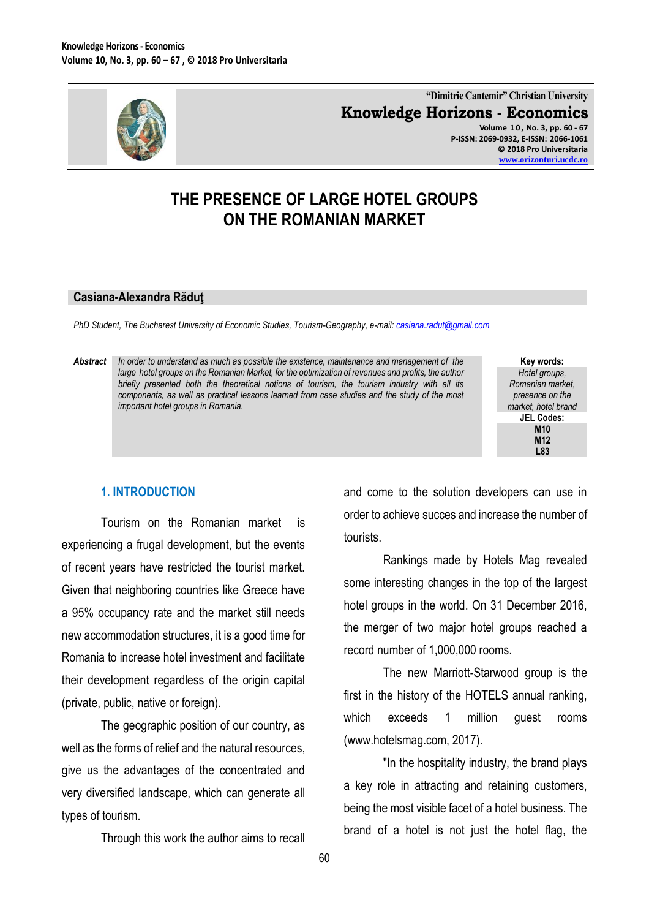

**"Dimitrie Cantemir" Christian University Knowledge Horizons - Economics Volume 1 0 , No. 3, pp. 60 - 67**

**P-ISSN: 2069-0932, E-ISSN: 2066-1061 © 2018 Pro Universitaria [www.orizonturi.ucdc.ro](http://www.orizonturi.ucdc.ro/)**

## **THE PRESENCE OF LARGE HOTEL GROUPS ON THE ROMANIAN MARKET**

#### **Casiana-Alexandra Răduţ**

*PhD Student, The Bucharest University of Economic Studies, Tourism-Geography, e-mail[: casiana.radut@gmail.com](mailto:casiana.radut@gmail.com)*

*Abstract In order to understand as much as possible the existence, maintenance and management of the*  large hotel groups on the Romanian Market, for the optimization of revenues and profits, the author *briefly presented both the theoretical notions of tourism, the tourism industry with all its components, as well as practical lessons learned from case studies and the study of the most important hotel groups in Romania.*

**Key words:** *Hotel groups, Romanian market, presence on the market, hotel brand* **JEL Codes: M10 M12 L83**

#### **1. INTRODUCTION**

Tourism on the Romanian market is experiencing a frugal development, but the events of recent years have restricted the tourist market. Given that neighboring countries like Greece have a 95% occupancy rate and the market still needs new accommodation structures, it is a good time for Romania to increase hotel investment and facilitate their development regardless of the origin capital (private, public, native or foreign).

The geographic position of our country, as well as the forms of relief and the natural resources, give us the advantages of the concentrated and very diversified landscape, which can generate all types of tourism.

Through this work the author aims to recall

and come to the solution developers can use in order to achieve succes and increase the number of tourists.

Rankings made by Hotels Mag revealed some interesting changes in the top of the largest hotel groups in the world. On 31 December 2016, the merger of two major hotel groups reached a record number of 1,000,000 rooms.

The new Marriott-Starwood group is the first in the history of the HOTELS annual ranking, which exceeds 1 million guest rooms (www.hotelsmag.com, 2017).

"In the hospitality industry, the brand plays a key role in attracting and retaining customers, being the most visible facet of a hotel business. The brand of a hotel is not just the hotel flag, the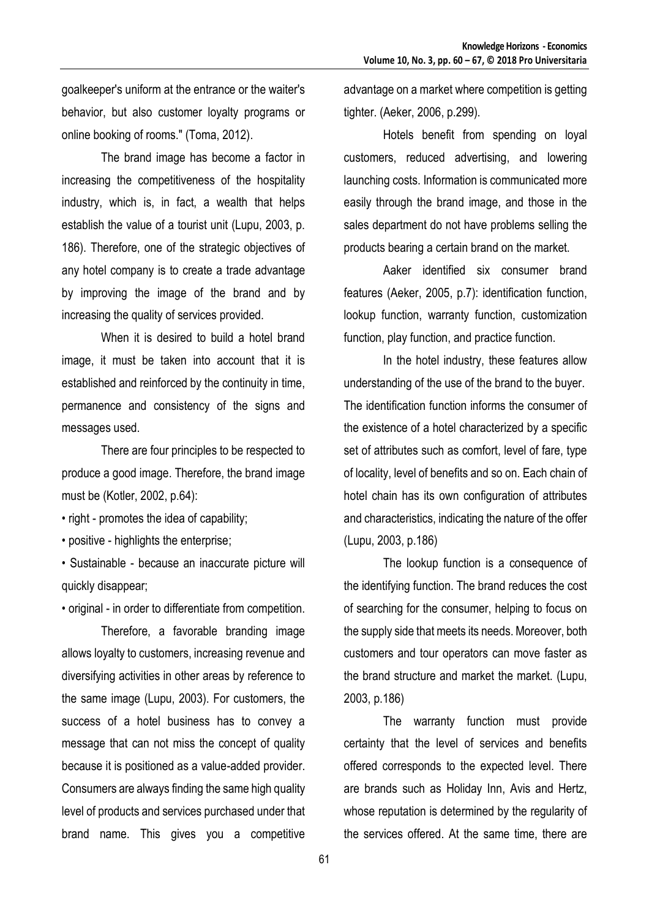goalkeeper's uniform at the entrance or the waiter's behavior, but also customer loyalty programs or online booking of rooms." (Toma, 2012).

The brand image has become a factor in increasing the competitiveness of the hospitality industry, which is, in fact, a wealth that helps establish the value of a tourist unit (Lupu, 2003, p. 186). Therefore, one of the strategic objectives of any hotel company is to create a trade advantage by improving the image of the brand and by increasing the quality of services provided.

When it is desired to build a hotel brand image, it must be taken into account that it is established and reinforced by the continuity in time, permanence and consistency of the signs and messages used.

There are four principles to be respected to produce a good image. Therefore, the brand image must be (Kotler, 2002, p.64):

• right - promotes the idea of capability;

• positive - highlights the enterprise;

• Sustainable - because an inaccurate picture will quickly disappear;

• original - in order to differentiate from competition.

Therefore, a favorable branding image allows loyalty to customers, increasing revenue and diversifying activities in other areas by reference to the same image (Lupu, 2003). For customers, the success of a hotel business has to convey a message that can not miss the concept of quality because it is positioned as a value-added provider. Consumers are always finding the same high quality level of products and services purchased under that brand name. This gives you a competitive

advantage on a market where competition is getting tighter. (Aeker, 2006, p.299).

Hotels benefit from spending on loyal customers, reduced advertising, and lowering launching costs. Information is communicated more easily through the brand image, and those in the sales department do not have problems selling the products bearing a certain brand on the market.

Aaker identified six consumer brand features (Aeker, 2005, p.7): identification function, lookup function, warranty function, customization function, play function, and practice function.

In the hotel industry, these features allow understanding of the use of the brand to the buyer. The identification function informs the consumer of the existence of a hotel characterized by a specific set of attributes such as comfort, level of fare, type of locality, level of benefits and so on. Each chain of hotel chain has its own configuration of attributes and characteristics, indicating the nature of the offer (Lupu, 2003, p.186)

The lookup function is a consequence of the identifying function. The brand reduces the cost of searching for the consumer, helping to focus on the supply side that meets its needs. Moreover, both customers and tour operators can move faster as the brand structure and market the market. (Lupu, 2003, p.186)

The warranty function must provide certainty that the level of services and benefits offered corresponds to the expected level. There are brands such as Holiday Inn, Avis and Hertz, whose reputation is determined by the regularity of the services offered. At the same time, there are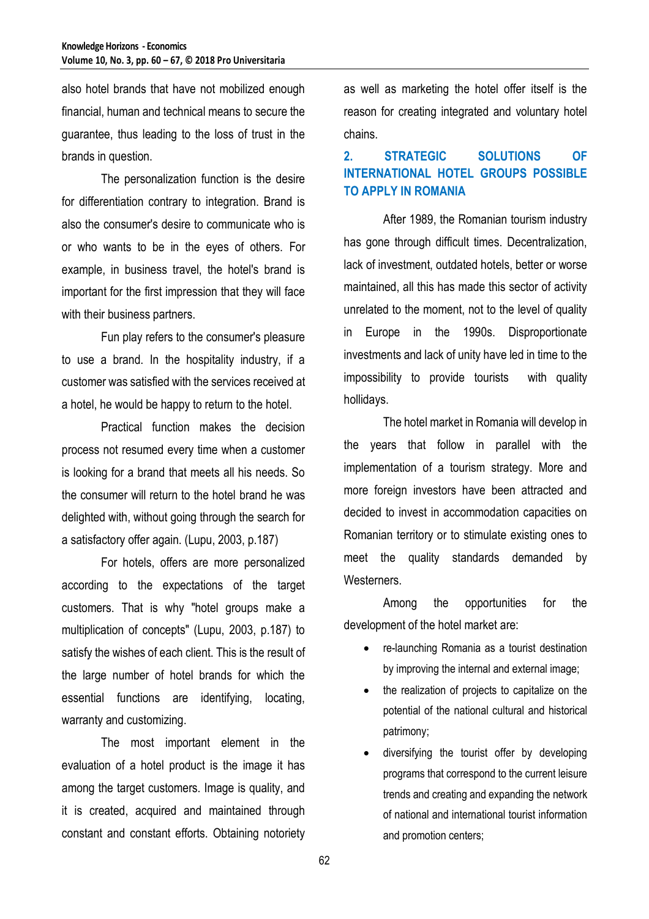also hotel brands that have not mobilized enough financial, human and technical means to secure the guarantee, thus leading to the loss of trust in the brands in question.

The personalization function is the desire for differentiation contrary to integration. Brand is also the consumer's desire to communicate who is or who wants to be in the eyes of others. For example, in business travel, the hotel's brand is important for the first impression that they will face with their business partners.

Fun play refers to the consumer's pleasure to use a brand. In the hospitality industry, if a customer was satisfied with the services received at a hotel, he would be happy to return to the hotel.

Practical function makes the decision process not resumed every time when a customer is looking for a brand that meets all his needs. So the consumer will return to the hotel brand he was delighted with, without going through the search for a satisfactory offer again. (Lupu, 2003, p.187)

For hotels, offers are more personalized according to the expectations of the target customers. That is why "hotel groups make a multiplication of concepts" (Lupu, 2003, p.187) to satisfy the wishes of each client. This is the result of the large number of hotel brands for which the essential functions are identifying, locating, warranty and customizing.

The most important element in the evaluation of a hotel product is the image it has among the target customers. Image is quality, and it is created, acquired and maintained through constant and constant efforts. Obtaining notoriety as well as marketing the hotel offer itself is the reason for creating integrated and voluntary hotel chains.

## **2. STRATEGIC SOLUTIONS OF INTERNATIONAL HOTEL GROUPS POSSIBLE TO APPLY IN ROMANIA**

After 1989, the Romanian tourism industry has gone through difficult times. Decentralization, lack of investment, outdated hotels, better or worse maintained, all this has made this sector of activity unrelated to the moment, not to the level of quality in Europe in the 1990s. Disproportionate investments and lack of unity have led in time to the impossibility to provide tourists with quality hollidays.

The hotel market in Romania will develop in the years that follow in parallel with the implementation of a tourism strategy. More and more foreign investors have been attracted and decided to invest in accommodation capacities on Romanian territory or to stimulate existing ones to meet the quality standards demanded by Westerners.

Among the opportunities for the development of the hotel market are:

- re-launching Romania as a tourist destination by improving the internal and external image;
- the realization of projects to capitalize on the potential of the national cultural and historical patrimony;
- diversifying the tourist offer by developing programs that correspond to the current leisure trends and creating and expanding the network of national and international tourist information and promotion centers;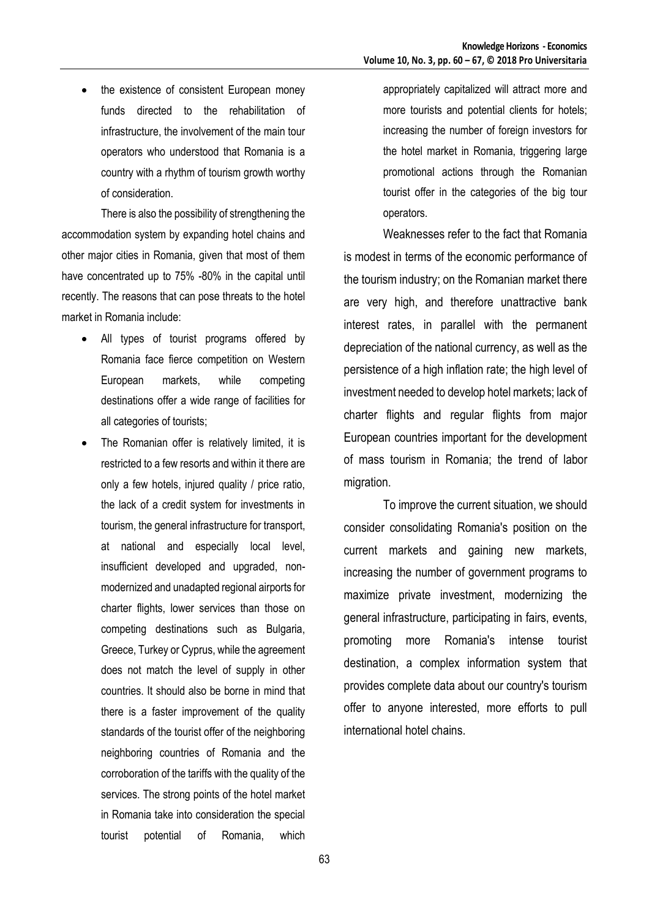• the existence of consistent European money funds directed to the rehabilitation of infrastructure, the involvement of the main tour operators who understood that Romania is a country with a rhythm of tourism growth worthy of consideration.

There is also the possibility of strengthening the accommodation system by expanding hotel chains and other major cities in Romania, given that most of them have concentrated up to 75% -80% in the capital until recently. The reasons that can pose threats to the hotel market in Romania include:

- All types of tourist programs offered by Romania face fierce competition on Western European markets, while competing destinations offer a wide range of facilities for all categories of tourists;
- The Romanian offer is relatively limited, it is restricted to a few resorts and within it there are only a few hotels, injured quality / price ratio, the lack of a credit system for investments in tourism, the general infrastructure for transport, at national and especially local level, insufficient developed and upgraded, nonmodernized and unadapted regional airports for charter flights, lower services than those on competing destinations such as Bulgaria, Greece, Turkey or Cyprus, while the agreement does not match the level of supply in other countries. It should also be borne in mind that there is a faster improvement of the quality standards of the tourist offer of the neighboring neighboring countries of Romania and the corroboration of the tariffs with the quality of the services. The strong points of the hotel market in Romania take into consideration the special tourist potential of Romania, which

appropriately capitalized will attract more and more tourists and potential clients for hotels; increasing the number of foreign investors for the hotel market in Romania, triggering large promotional actions through the Romanian tourist offer in the categories of the big tour operators.

Weaknesses refer to the fact that Romania is modest in terms of the economic performance of the tourism industry; on the Romanian market there are very high, and therefore unattractive bank interest rates, in parallel with the permanent depreciation of the national currency, as well as the persistence of a high inflation rate; the high level of investment needed to develop hotel markets; lack of charter flights and regular flights from major European countries important for the development of mass tourism in Romania; the trend of labor migration.

To improve the current situation, we should consider consolidating Romania's position on the current markets and gaining new markets, increasing the number of government programs to maximize private investment, modernizing the general infrastructure, participating in fairs, events, promoting more Romania's intense tourist destination, a complex information system that provides complete data about our country's tourism offer to anyone interested, more efforts to pull international hotel chains.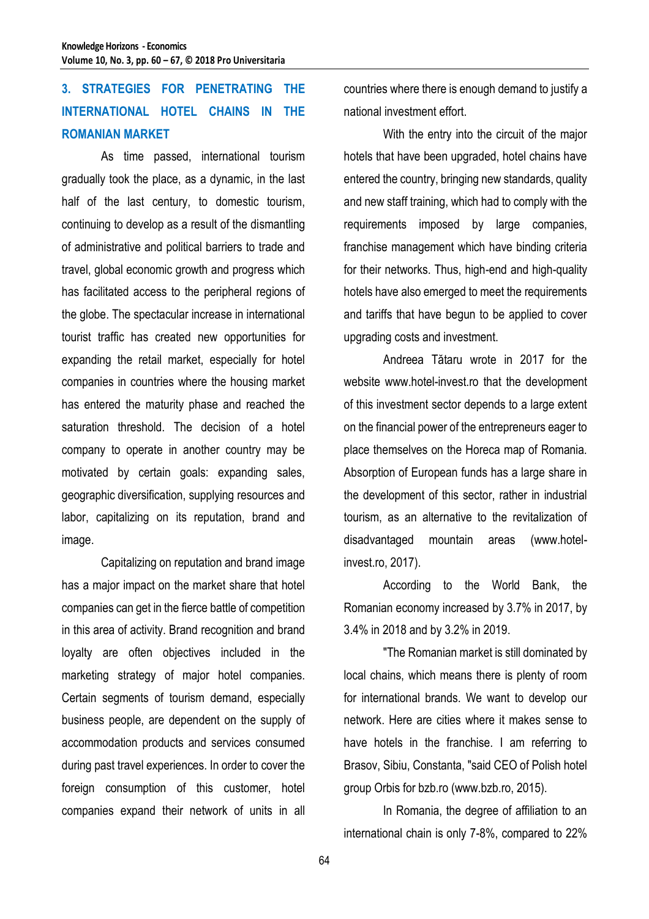# **3. STRATEGIES FOR PENETRATING THE INTERNATIONAL HOTEL CHAINS IN THE ROMANIAN MARKET**

As time passed, international tourism gradually took the place, as a dynamic, in the last half of the last century, to domestic tourism, continuing to develop as a result of the dismantling of administrative and political barriers to trade and travel, global economic growth and progress which has facilitated access to the peripheral regions of the globe. The spectacular increase in international tourist traffic has created new opportunities for expanding the retail market, especially for hotel companies in countries where the housing market has entered the maturity phase and reached the saturation threshold. The decision of a hotel company to operate in another country may be motivated by certain goals: expanding sales, geographic diversification, supplying resources and labor, capitalizing on its reputation, brand and image.

Capitalizing on reputation and brand image has a major impact on the market share that hotel companies can get in the fierce battle of competition in this area of activity. Brand recognition and brand loyalty are often objectives included in the marketing strategy of major hotel companies. Certain segments of tourism demand, especially business people, are dependent on the supply of accommodation products and services consumed during past travel experiences. In order to cover the foreign consumption of this customer, hotel companies expand their network of units in all

countries where there is enough demand to justify a national investment effort.

With the entry into the circuit of the major hotels that have been upgraded, hotel chains have entered the country, bringing new standards, quality and new staff training, which had to comply with the requirements imposed by large companies, franchise management which have binding criteria for their networks. Thus, high-end and high-quality hotels have also emerged to meet the requirements and tariffs that have begun to be applied to cover upgrading costs and investment.

Andreea Tătaru wrote in 2017 for the website www.hotel-invest.ro that the development of this investment sector depends to a large extent on the financial power of the entrepreneurs eager to place themselves on the Horeca map of Romania. Absorption of European funds has a large share in the development of this sector, rather in industrial tourism, as an alternative to the revitalization of disadvantaged mountain areas (www.hotelinvest.ro, 2017).

According to the World Bank, the Romanian economy increased by 3.7% in 2017, by 3.4% in 2018 and by 3.2% in 2019.

"The Romanian market is still dominated by local chains, which means there is plenty of room for international brands. We want to develop our network. Here are cities where it makes sense to have hotels in the franchise. I am referring to Brasov, Sibiu, Constanta, "said CEO of Polish hotel group Orbis for bzb.ro (www.bzb.ro, 2015).

In Romania, the degree of affiliation to an international chain is only 7-8%, compared to 22%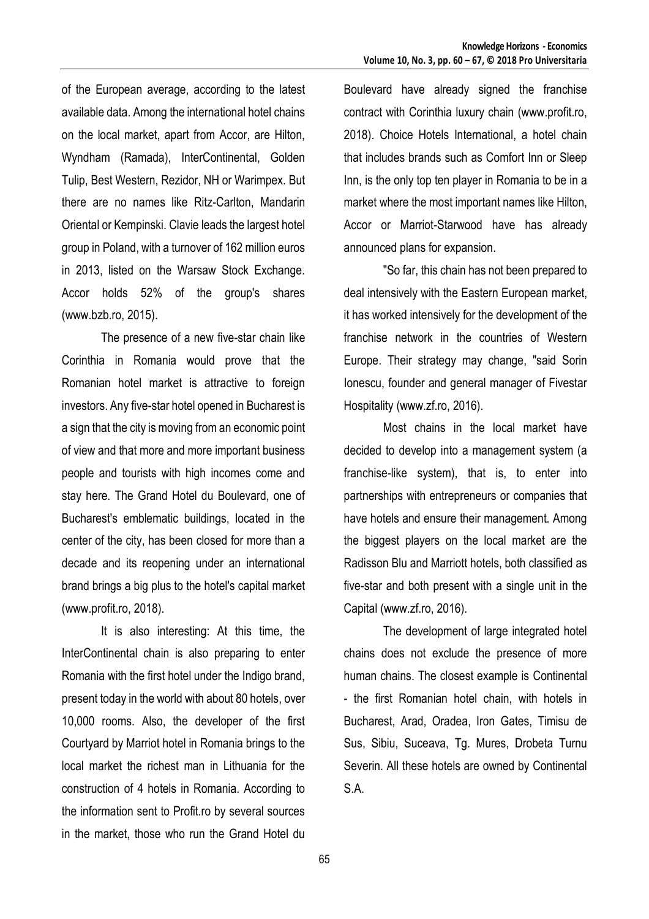of the European average, according to the latest available data. Among the international hotel chains on the local market, apart from Accor, are Hilton, Wyndham (Ramada), InterContinental, Golden Tulip, Best Western, Rezidor, NH or Warimpex. But there are no names like Ritz-Carlton, Mandarin Oriental or Kempinski. Clavie leads the largest hotel group in Poland, with a turnover of 162 million euros in 2013, listed on the Warsaw Stock Exchange. Accor holds 52% of the group's shares (www.bzb.ro, 2015).

The presence of a new five-star chain like Corinthia in Romania would prove that the Romanian hotel market is attractive to foreign investors. Any five-star hotel opened in Bucharest is a sign that the city is moving from an economic point of view and that more and more important business people and tourists with high incomes come and stay here. The Grand Hotel du Boulevard, one of Bucharest's emblematic buildings, located in the center of the city, has been closed for more than a decade and its reopening under an international brand brings a big plus to the hotel's capital market (www.profit.ro, 2018).

It is also interesting: At this time, the InterContinental chain is also preparing to enter Romania with the first hotel under the Indigo brand, present today in the world with about 80 hotels, over 10,000 rooms. Also, the developer of the first Courtyard by Marriot hotel in Romania brings to the local market the richest man in Lithuania for the construction of 4 hotels in Romania. According to the information sent to Profit.ro by several sources in the market, those who run the Grand Hotel du

Boulevard have already signed the franchise contract with Corinthia luxury chain (www.profit.ro, 2018). Choice Hotels International, a hotel chain that includes brands such as Comfort Inn or Sleep Inn, is the only top ten player in Romania to be in a market where the most important names like Hilton, Accor or Marriot-Starwood have has already announced plans for expansion.

"So far, this chain has not been prepared to deal intensively with the Eastern European market, it has worked intensively for the development of the franchise network in the countries of Western Europe. Their strategy may change, "said Sorin Ionescu, founder and general manager of Fivestar Hospitality (www.zf.ro, 2016).

Most chains in the local market have decided to develop into a management system (a franchise-like system), that is, to enter into partnerships with entrepreneurs or companies that have hotels and ensure their management. Among the biggest players on the local market are the Radisson Blu and Marriott hotels, both classified as five-star and both present with a single unit in the Capital (www.zf.ro, 2016).

The development of large integrated hotel chains does not exclude the presence of more human chains. The closest example is Continental - the first Romanian hotel chain, with hotels in Bucharest, Arad, Oradea, Iron Gates, Timisu de Sus, Sibiu, Suceava, Tg. Mures, Drobeta Turnu Severin. All these hotels are owned by Continental S.A.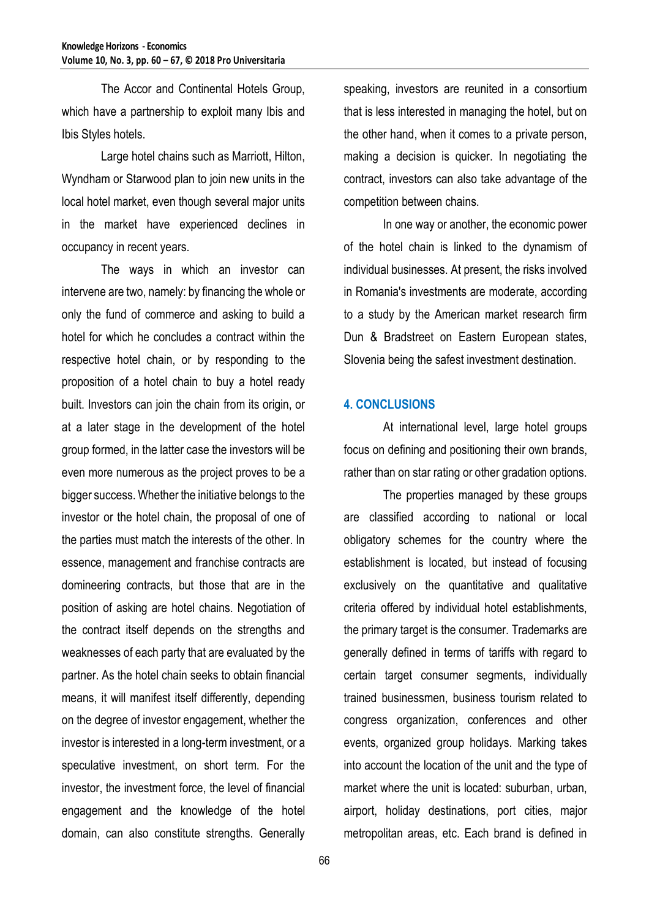The Accor and Continental Hotels Group, which have a partnership to exploit many Ibis and Ibis Styles hotels.

Large hotel chains such as Marriott, Hilton, Wyndham or Starwood plan to join new units in the local hotel market, even though several major units in the market have experienced declines in occupancy in recent years.

The ways in which an investor can intervene are two, namely: by financing the whole or only the fund of commerce and asking to build a hotel for which he concludes a contract within the respective hotel chain, or by responding to the proposition of a hotel chain to buy a hotel ready built. Investors can join the chain from its origin, or at a later stage in the development of the hotel group formed, in the latter case the investors will be even more numerous as the project proves to be a bigger success. Whether the initiative belongs to the investor or the hotel chain, the proposal of one of the parties must match the interests of the other. In essence, management and franchise contracts are domineering contracts, but those that are in the position of asking are hotel chains. Negotiation of the contract itself depends on the strengths and weaknesses of each party that are evaluated by the partner. As the hotel chain seeks to obtain financial means, it will manifest itself differently, depending on the degree of investor engagement, whether the investor is interested in a long-term investment, or a speculative investment, on short term. For the investor, the investment force, the level of financial engagement and the knowledge of the hotel domain, can also constitute strengths. Generally

speaking, investors are reunited in a consortium that is less interested in managing the hotel, but on the other hand, when it comes to a private person, making a decision is quicker. In negotiating the contract, investors can also take advantage of the competition between chains.

In one way or another, the economic power of the hotel chain is linked to the dynamism of individual businesses. At present, the risks involved in Romania's investments are moderate, according to a study by the American market research firm Dun & Bradstreet on Eastern European states, Slovenia being the safest investment destination.

### **4. CONCLUSIONS**

At international level, large hotel groups focus on defining and positioning their own brands, rather than on star rating or other gradation options.

The properties managed by these groups are classified according to national or local obligatory schemes for the country where the establishment is located, but instead of focusing exclusively on the quantitative and qualitative criteria offered by individual hotel establishments, the primary target is the consumer. Trademarks are generally defined in terms of tariffs with regard to certain target consumer segments, individually trained businessmen, business tourism related to congress organization, conferences and other events, organized group holidays. Marking takes into account the location of the unit and the type of market where the unit is located: suburban, urban, airport, holiday destinations, port cities, major metropolitan areas, etc. Each brand is defined in